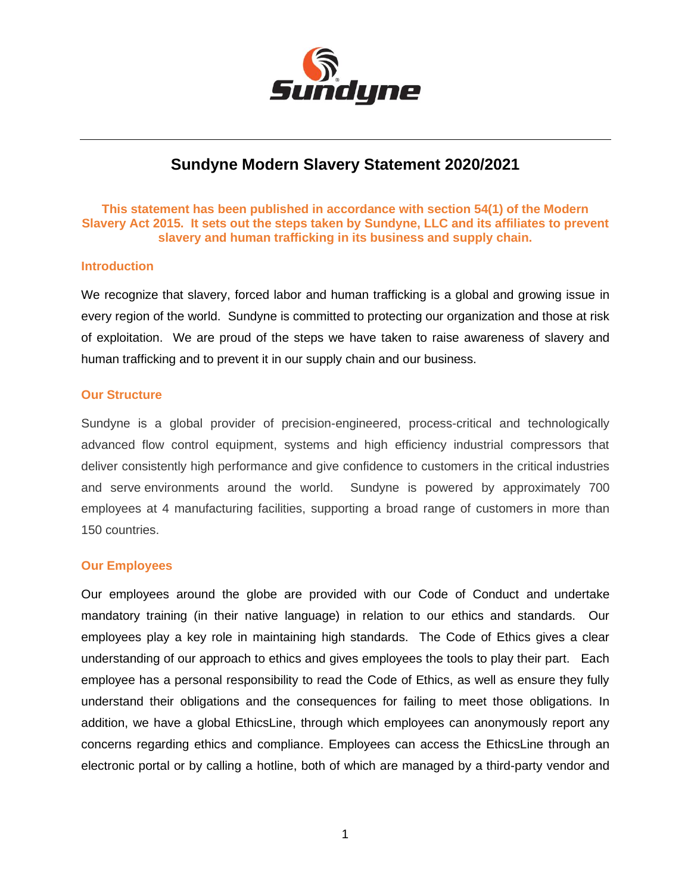

# **Sundyne Modern Slavery Statement 2020/2021**

## **This statement has been published in accordance with section 54(1) of the Modern Slavery Act 2015. It sets out the steps taken by Sundyne, LLC and its affiliates to prevent slavery and human trafficking in its business and supply chain.**

## **Introduction**

We recognize that slavery, forced labor and human trafficking is a global and growing issue in every region of the world. Sundyne is committed to protecting our organization and those at risk of exploitation. We are proud of the steps we have taken to raise awareness of slavery and human trafficking and to prevent it in our supply chain and our business.

#### **Our Structure**

Sundyne is a global provider of precision-engineered, process-critical and technologically advanced flow control equipment, systems and high efficiency industrial compressors that deliver consistently high performance and give confidence to customers in the critical industries and serve environments around the world. Sundyne is powered by approximately 700 employees at 4 manufacturing facilities, supporting a broad range of customers in more than 150 countries.

#### **Our Employees**

Our employees around the globe are provided with our Code of Conduct and undertake mandatory training (in their native language) in relation to our ethics and standards. Our employees play a key role in maintaining high standards. The Code of Ethics gives a clear understanding of our approach to ethics and gives employees the tools to play their part. Each employee has a personal responsibility to read the Code of Ethics, as well as ensure they fully understand their obligations and the consequences for failing to meet those obligations. In addition, we have a global EthicsLine, through which employees can anonymously report any concerns regarding ethics and compliance. Employees can access the EthicsLine through an electronic portal or by calling a hotline, both of which are managed by a third-party vendor and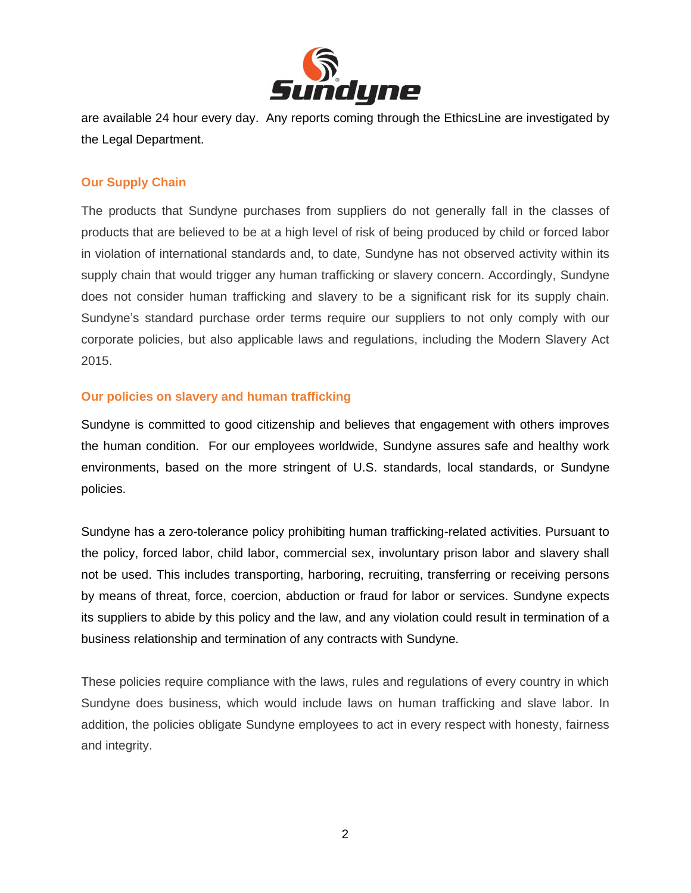

are available 24 hour every day. Any reports coming through the EthicsLine are investigated by the Legal Department.

# **Our Supply Chain**

The products that Sundyne purchases from suppliers do not generally fall in the classes of products that are believed to be at a high level of risk of being produced by child or forced labor in violation of international standards and, to date, Sundyne has not observed activity within its supply chain that would trigger any human trafficking or slavery concern. Accordingly, Sundyne does not consider human trafficking and slavery to be a significant risk for its supply chain. Sundyne's standard purchase order terms require our suppliers to not only comply with our corporate policies, but also applicable laws and regulations, including the Modern Slavery Act 2015.

# **Our policies on slavery and human trafficking**

Sundyne is committed to good citizenship and believes that engagement with others improves the human condition. For our employees worldwide, Sundyne assures safe and healthy work environments, based on the more stringent of U.S. standards, local standards, or Sundyne policies.

Sundyne has a zero-tolerance policy prohibiting human trafficking-related activities. Pursuant to the policy, forced labor, child labor, commercial sex, involuntary prison labor and slavery shall not be used. This includes transporting, harboring, recruiting, transferring or receiving persons by means of threat, force, coercion, abduction or fraud for labor or services. Sundyne expects its suppliers to abide by this policy and the law, and any violation could result in termination of a business relationship and termination of any contracts with Sundyne.

These policies require compliance with the laws, rules and regulations of every country in which Sundyne does business, which would include laws on human trafficking and slave labor. In addition, the policies obligate Sundyne employees to act in every respect with honesty, fairness and integrity.